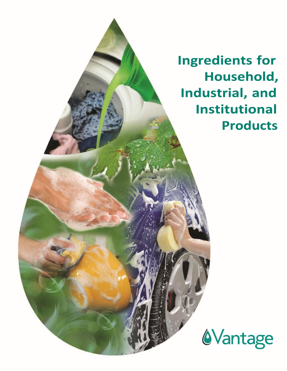**Ingredients for** Household, Industrial, and **Institutional Products** 

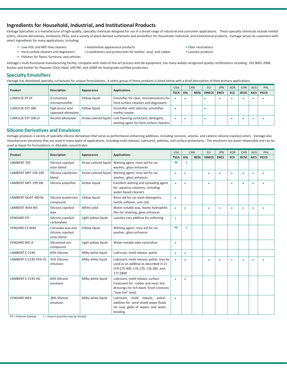# **Ingredients for Household, Industrial, and Institutional Products**

Vantage Specialties is a manufacturer of high-quality, specialty chemicals designed for use in a broad range of industrial and consumer applications. These specialty chemicals include methyl esters, silicone derivatives, emulsions, PEGs, and a variety of plant-derived surfactants and emulsifiers for Household, Industrial, and Institutional products. Vantage serves its customers with select ingredients for many applications, including:

- 
- Low VOC and NPE-free cleaners Automotive appearance products Odor neutralizers
- Hard surface cleaners and degreasers Conditioners and protectants for leather, vinyl, and rubber Laundry products
- 

• Polishes for floors, furniture, and vehicles

Vantage's multi-functional manufacturing facility, complete with state-of-the-art process and lab equipment, has many widely recognized quality certifications including: ISO 9001-2008, Kosher and Kosher for Passover (OU), Halal, USP/NF, and cGMP for food grade certified production.

### **Specialty Emulsifiers**

Vantage has developed specialty surfactants for unique formulations. A select group of these products is listed below with a brief description of their primary applications.

| Product            | <b>Description</b>  |               |                                                           | <b>USA</b>  |            | CAN         | EU            | <b>JPN</b>  | <b>KOR</b> | <b>CHN</b>   | <b>AUS</b>  | PHL          |
|--------------------|---------------------|---------------|-----------------------------------------------------------|-------------|------------|-------------|---------------|-------------|------------|--------------|-------------|--------------|
|                    |                     | Appearance    | <b>Applications</b>                                       | <b>TSCA</b> | <b>DSL</b> | <b>NDSL</b> | <b>EINECS</b> | <b>ENCS</b> | ECS        | <b>IECSC</b> | <b>AICS</b> | <b>PICCS</b> |
| LUMULSE EP-EF      | d-Limonene          | Yellow liquid | Emulsifier for clear, microemulsions for                  |             |            |             |               |             |            |              |             |              |
|                    | microemulsifier     |               | hard surface cleaners and degreasers                      |             |            |             |               |             |            |              |             |              |
| LUMULSE EST-300    | High erucic acid    | Yellow liquid | Emulsifier with lubricity; emulsifies                     |             |            |             |               |             |            |              |             |              |
|                    | rapeseed alkoxylate |               | methyl soyate                                             |             |            |             |               |             |            |              |             |              |
| LUMULSE EST-500 LF | Alcohol alkoxylate  |               | Straw-colored liquid   Low foaming surfactant, detergent, |             |            |             |               |             |            |              |             |              |
|                    |                     |               | wetting agent for hard surface cleaners                   |             |            |             |               |             |            |              |             |              |

#### **Silicone Derivatives and Emulsions**

Vantage produces a variety of specialty silicone derivatives that serve as performance-enhancing additives, including nonionic, anionic, and cationic silicone copolyol esters. Vantage also manufactures emulsions that are used in many types of applications, including mold releases, lubricants, polishes, and surface protectants. The emulsions are water-dispersible and can be used as bases for formulations or dilutable concentrates.

| Product               | <b>Description</b>                                   | Appearance           | <b>Applications</b>                                                                                                                       | <b>USA</b>  |            | CAN         | <b>EU</b>     | <b>JPN</b>  | <b>KOR</b> | <b>CHN</b>   | AUS         | PHL          |
|-----------------------|------------------------------------------------------|----------------------|-------------------------------------------------------------------------------------------------------------------------------------------|-------------|------------|-------------|---------------|-------------|------------|--------------|-------------|--------------|
|                       |                                                      |                      |                                                                                                                                           | <b>TSCA</b> | <b>DSL</b> | <b>NDSL</b> | <b>EINECS</b> | <b>ENCS</b> | <b>ECS</b> | <b>IECSC</b> | <b>AICS</b> | <b>PICCS</b> |
| LAMBENT 703           | Silicone copolyol<br>ester blend                     | Straw-colored liquid | Wetting agent, rinse aid for car<br>washes, gloss enhancer                                                                                | <b>PE</b>   | L.         |             |               |             |            |              |             |              |
| LAMBENT MFF 159-100   | Silicone copolymer<br>blend                          | Straw-colored liquid | Wetting agent, rinse aid for car<br>washes, gloss enhancer                                                                                | ٠           | ٠          |             | ö             | ٠           | ٠          | ٠            | ٠           | ٠            |
| LAMBENT MFF-199 SW    | Silicone polyether                                   | Amber liquid         | Excellent wetting and spreading agent<br>for aqueous solutions, including<br>water-based cleaners                                         | ٠           | ٠          |             | ٠             |             | $\bullet$  |              | $\bullet$   |              |
| LAMBENT QUAT 400 M    | Silicone quaternary<br>compound                      | Yellow liquid        | Rinse aid for car wash detergents,<br>textile softener, anti-stat                                                                         | ٠           |            |             |               |             |            |              |             |              |
| <b>LAMBENT WAX WS</b> | Silicone copolyol<br>wax                             | White solid          | Water-soluble wax, leaves hydrophilic<br>film for sheeting, gloss enhancer                                                                |             | ٠          |             | ö             | ٠           | ٠          | ٠            | ٠           | ٠            |
| <b>SYNGARD CPI</b>    | Silicone copolyol<br>carboxylate                     | Light yellow liquid  | Laundry care additive for softening                                                                                                       | ٠           |            |             |               |             |            |              |             |              |
| <b>SYNGARD CS WAX</b> | Carnauba wax and<br>silicone copolyol<br>ester blend | Yellow liquid        | Wetting agent, rinse aid for car<br>washes, gloss enhancer                                                                                | <b>PE</b>   | L          |             |               |             |            |              |             |              |
| <b>SYNGARD WD-A</b>   | Siliconized zinc<br>compound                         | Light yellow liquid  | Water-soluble odor neutralizer                                                                                                            |             |            |             |               |             |            |              |             |              |
| LAMBENT E-2140        | 60% Silicone                                         | Milky white liquid   | Lubricant, mold release, polish                                                                                                           | ٠           | ٠          |             |               |             |            |              |             |              |
| LAMBENT E-2140 35% FG | 35% Silicone<br>emulsion                             | Milky white liquid   | Lubricant, mold release, polish; may be<br>used as an additive as described in 21<br>CFR 175.300, 176.170, 176.180, and<br>177.2800       |             |            |             |               |             |            |              |             |              |
| LAMBENT E-2145 HG     | 60% Silicone<br>emulsion                             | Milky white liquid   | Lubricant, mold release, surface<br>treatment for rubber and vinyl; tire<br>dressings for rich black finish (restores<br>"new tire" look) |             |            |             |               |             |            |              |             |              |
| <b>SYNGARD WFA</b>    | 38% Silicone<br>emulsion                             | Milky white liquid   | Lubricant, mold release, polish,<br>additive for wind-shield wiper fluids<br>for easy glide of wipers and water<br>beading                | $\bullet$   |            |             |               |             |            |              |             |              |

 $PE =$  Polymer Exempt  $L =$  Import quantity may be limited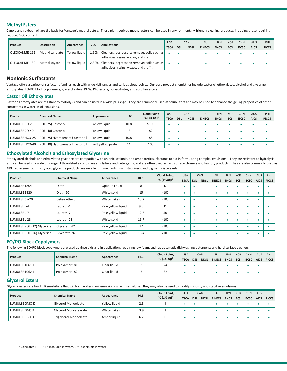### **Methyl Esters**

Canola and soybean oil are the basis for Vantage's methyl esters. These plant-derived methyl esters can be used in environmentally-friendly cleaning products, including those requiring reduced VOC content.

| Product        | <b>Description</b> | Appearance    | <b>VOC</b> | <b>Applications</b>                                                                     | <b>USA</b>  |            | <b>CAN</b>  | EU            | <b>JPN</b>  | <b>KOR</b> | <b>CHN</b>   | <b>AUS</b>  | PHL          |
|----------------|--------------------|---------------|------------|-----------------------------------------------------------------------------------------|-------------|------------|-------------|---------------|-------------|------------|--------------|-------------|--------------|
|                |                    |               |            |                                                                                         | <b>TSCA</b> | <b>DSL</b> | <b>NDSL</b> | <b>EINECS</b> | <b>ENCS</b> | ECS        | <b>IECSC</b> | <b>AICS</b> | <b>PICCS</b> |
| OLEOCAL ME-112 | Methyl canolate    | Yellow liquid | .90%       | Cleaners, degreasers; removes soils such as<br>adhesives, resins, waxes, and graffiti   |             |            |             |               |             |            |              |             |              |
| OLEOCAL ME-130 | Methyl soyate      | Yellow liquid | 2.30%      | Cleaners, degreasers; removes soils such as  <br>adhesives, resins, waxes, and graffiti |             |            |             |               |             |            |              |             |              |

## **NonIonic Surfactants**

Vantage offers a variety of surfactant families, each with wide HLB ranges and various cloud points. Our core product chemistries include castor oil ethoxylates, alcohol and glycerine ethoxylates, EO/PO block copolymers, glycerol esters, PEGs, PEG esters, polysorbates, and sorbitan esters.

### **Castor Oil Ethoxylates**

Castor oil ethoxylates are resistant to hydrolysis and can be used in a wide pH range. They are commonly used as solubilizers and may be used to enhance the gelling properties of other surfactants in water-in-oil emulsions.

| Product        | <b>Chemical Name</b>             |                   | HLB <sup>1</sup> | <b>Cloud Point.</b>               | <b>USA</b>  |            | <b>CAN</b>  | EU            | <b>JPN</b>  | <b>KOR</b> | <b>CHN</b>   | <b>AUS</b>  | PHL          |
|----------------|----------------------------------|-------------------|------------------|-----------------------------------|-------------|------------|-------------|---------------|-------------|------------|--------------|-------------|--------------|
|                |                                  | Appearance        |                  | $^{\circ}$ C (1% ag) <sup>2</sup> | <b>TSCA</b> | <b>DSL</b> | <b>NDSL</b> | <b>EINECS</b> | <b>ENCS</b> | ECS        | <b>IECSC</b> | <b>AICS</b> | <b>PICCS</b> |
| LUMULSE CO-25  | POE (25) Castor oil              | Yellow liquid     | 10.8             | >100                              |             |            |             |               |             |            |              |             |              |
| LUMULSE CO-40  | POE (40) Castor oil              | Yellow liquid     | 13               | 82                                |             |            |             |               |             |            |              |             |              |
| LUMULSE HCO-25 | POE (25) Hydrogenated castor oil | Yellow liquid     | 10.8             | 88                                |             |            |             |               |             |            |              |             |              |
| LUMULSE HCO-40 | POE (40) Hydrogenated castor oil | Soft yellow paste | 14               | 100                               |             |            |             |               |             |            |              |             |              |

#### **Ethoxylated Alcohols and Ethoxylated Glycerine**

Ethoxylated alcohols and ethoxylated glycerine are compatible with anionic, cationic, and amphoteric surfactants to aid in formulating complex emulsions. They are resistant to hydrolysis and can be used in a wide pH range. Ethoxylated alcohols are emulsifiers and detergents, and are often used in hard surface cleaners and laundry products. They are also commonly used as NPE replacements. Ethoxylated glycerine products are excellent humectants, foam stabilizers, and pigment dispersants.

|                            | <b>Chemical Name</b> |                    | HLB <sup>1</sup> | Cloud Point,                      | <b>USA</b>  |            | <b>CAN</b>  | EU            | <b>JPN</b>  | <b>KOR</b> | <b>CHN</b>   | <b>AUS</b>  | <b>PHL</b>   |
|----------------------------|----------------------|--------------------|------------------|-----------------------------------|-------------|------------|-------------|---------------|-------------|------------|--------------|-------------|--------------|
| Product                    |                      | Appearance         |                  | $^{\circ}$ C (1% aq) <sup>2</sup> | <b>TSCA</b> | <b>DSL</b> | <b>NDSL</b> | <b>EINECS</b> | <b>ENCS</b> | <b>ECS</b> | <b>IECSC</b> | <b>AICS</b> | <b>PICCS</b> |
| LUMULSE 1804               | Oleth-4              | Opaque liquid      | 8                | D                                 |             |            |             |               |             |            |              |             |              |
| LUMULSE 1820               | Oleth-20             | White solid        | 15               | >100                              |             |            |             |               |             |            |              |             |              |
| LUMULSE CS-20              | Ceteareth-20         | White flakes       | 15.2             | >100                              |             |            |             |               |             |            |              |             |              |
| LUMULSE L-4                | Laureth-4            | Pale yellow liquid | 9.5              | D                                 |             |            |             |               |             | ٠          |              |             |              |
| LUMULSE L-7                | Laureth-7            | Pale yellow liquid | 12.6             | 50                                |             |            |             |               |             |            |              |             |              |
| LUMULSE L-23               | Laureth-23           | White solid        | 16.7             | >100                              |             |            |             |               |             |            |              |             |              |
| LUMULSE POE (12) Glycerine | Glycereth-12         | Pale yellow liquid | 17               | >100                              |             |            |             |               |             |            |              |             |              |
| LUMULSE POE (26) Glycerine | Glycereth-26         | Pale yellow liquid | 18.4             | >100                              |             |            |             |               |             | ٠          |              |             |              |

#### **EO/PO Block Copolymers**

The following EO/PO block copolymers are used as rinse aids and in applications requiring low foam, such as automatic dishwashing detergents and hard surface cleaners.

| Product        | <b>Chemical Name</b> |              | HLB <sup>1</sup> | <b>Cloud Point,</b>               | <b>USA</b>  |            | CAN         | <b>EU</b>     | <b>JPN</b>  | <b>KOR</b> | <b>CHN</b>   | <b>AUS</b>  | PHL          |
|----------------|----------------------|--------------|------------------|-----------------------------------|-------------|------------|-------------|---------------|-------------|------------|--------------|-------------|--------------|
|                |                      | Appearance   |                  | $^{\circ}$ C (1% ag) <sup>2</sup> | <b>TSCA</b> | <b>DSL</b> | <b>NDSL</b> | <b>EINECS</b> | <b>ENCS</b> | <b>ECS</b> | <b>IECSC</b> | <b>AICS</b> | <b>PICCS</b> |
| LUMULSE 1061-L | Poloxamer 181        | Clear liquid |                  | 24                                |             |            |             |               |             |            |              |             |              |
| LUMULSE 1062-L | Poloxamer 182        | Clear liquid |                  | 32                                |             |            |             |               |             |            |              |             |              |

#### **Glycerol Esters**

1

Glycerol esters are low HLB emulsifiers that will form water-in-oil emulsions when used alone. They may also be used to modify viscosity and stabilize emulsions.

|                 |                               |               |                  | Cloud Point,                      | <b>USA</b>  |            | CAN         | EU            | <b>JPN</b>  | <b>KOR</b> | <b>CHN</b>   | <b>AUS</b>  | PHL          |
|-----------------|-------------------------------|---------------|------------------|-----------------------------------|-------------|------------|-------------|---------------|-------------|------------|--------------|-------------|--------------|
| Product         | <b>Chemical Name</b>          | Appearance    | HLB <sup>1</sup> | $^{\circ}$ C (1% aq) <sup>2</sup> | <b>TSCA</b> | <b>DSL</b> | <b>NDSL</b> | <b>EINECS</b> | <b>ENCS</b> | ECS        | <b>IECSC</b> | <b>AICS</b> | <b>PICCS</b> |
| LUMULSE GMO K   | Glycerol Monooleate           | Yellow liquid | 2.8              |                                   |             |            |             |               |             |            |              |             |              |
| LUMULSE GMS K   | <b>Glycerol Monostearate</b>  | White flakes  | 3.9              |                                   |             |            |             |               |             |            |              |             |              |
| LUMULSE PGO-3 K | <b>Triglycerol Monooleate</b> | Amber liquid  | 6.2              |                                   |             |            |             |               |             |            |              |             |              |

<sup>&</sup>lt;sup>1</sup> Calculated HLB  $^2$  I = Insoluble in water, D = Dispersible in water